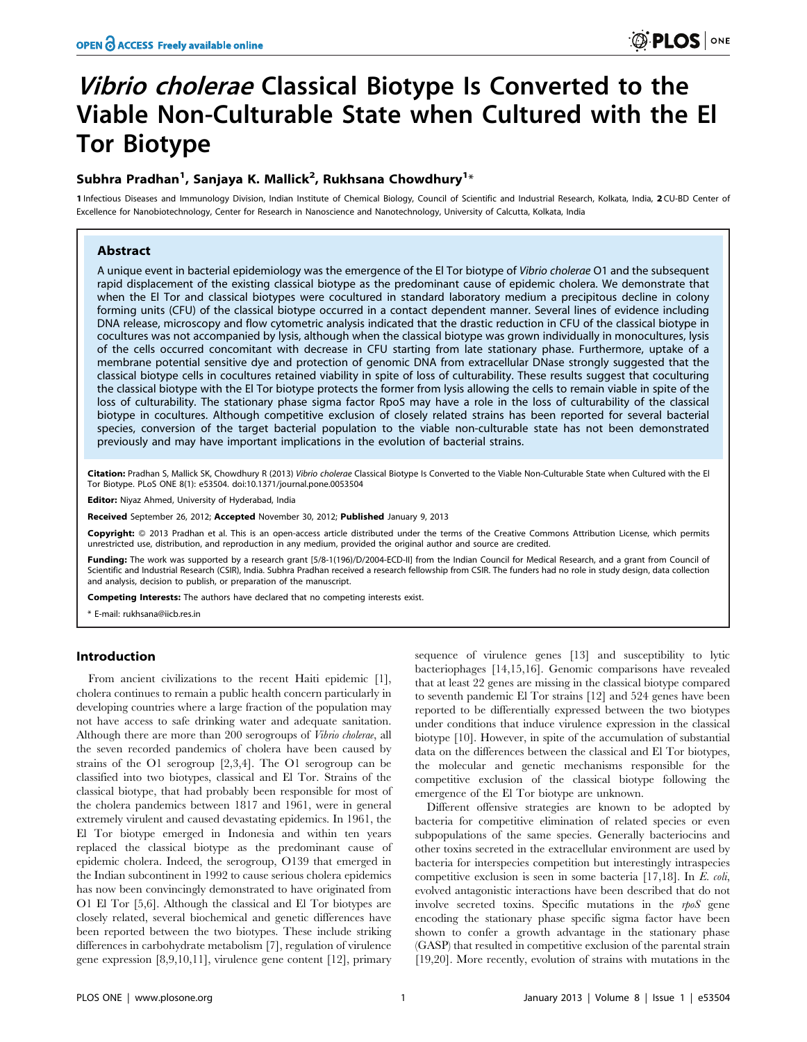# *Vibrio cholerae* Classical Biotype Is Converted to the Viable Non-Culturable State when Cultured with the El Tor Biotype

## Subhra Pradhan $^1$ , Sanjaya K. Mallick $^2$ , Rukhsana Chowdhury $^{1_\ast}$

1 Infectious Diseases and Immunology Division, Indian Institute of Chemical Biology, Council of Scientific and Industrial Research, Kolkata, India, 2 CU-BD Center of Excellence for Nanobiotechnology, Center for Research in Nanoscience and Nanotechnology, University of Calcutta, Kolkata, India

## Abstract

A unique event in bacterial epidemiology was the emergence of the El Tor biotype of Vibrio cholerae O1 and the subsequent rapid displacement of the existing classical biotype as the predominant cause of epidemic cholera. We demonstrate that when the El Tor and classical biotypes were cocultured in standard laboratory medium a precipitous decline in colony forming units (CFU) of the classical biotype occurred in a contact dependent manner. Several lines of evidence including DNA release, microscopy and flow cytometric analysis indicated that the drastic reduction in CFU of the classical biotype in cocultures was not accompanied by lysis, although when the classical biotype was grown individually in monocultures, lysis of the cells occurred concomitant with decrease in CFU starting from late stationary phase. Furthermore, uptake of a membrane potential sensitive dye and protection of genomic DNA from extracellular DNase strongly suggested that the classical biotype cells in cocultures retained viability in spite of loss of culturability. These results suggest that coculturing the classical biotype with the El Tor biotype protects the former from lysis allowing the cells to remain viable in spite of the loss of culturability. The stationary phase sigma factor RpoS may have a role in the loss of culturability of the classical biotype in cocultures. Although competitive exclusion of closely related strains has been reported for several bacterial species, conversion of the target bacterial population to the viable non-culturable state has not been demonstrated previously and may have important implications in the evolution of bacterial strains.

Citation: Pradhan S, Mallick SK, Chowdhury R (2013) Vibrio cholerae Classical Biotype Is Converted to the Viable Non-Culturable State when Cultured with the El Tor Biotype. PLoS ONE 8(1): e53504. doi:10.1371/journal.pone.0053504

Editor: Niyaz Ahmed, University of Hyderabad, India

Received September 26, 2012; Accepted November 30, 2012; Published January 9, 2013

**Copyright:** © 2013 Pradhan et al. This is an open-access article distributed under the terms of the Creative Commons Attribution License, which permits unrestricted use, distribution, and reproduction in any medium, provided the original author and source are credited.

Funding: The work was supported by a research grant [5/8-1(196)/D/2004-ECD-II] from the Indian Council for Medical Research, and a grant from Council of Scientific and Industrial Research (CSIR), India. Subhra Pradhan received a research fellowship from CSIR. The funders had no role in study design, data collection and analysis, decision to publish, or preparation of the manuscript.

Competing Interests: The authors have declared that no competing interests exist.

\* E-mail: rukhsana@iicb.res.in

#### Introduction

From ancient civilizations to the recent Haiti epidemic [1], cholera continues to remain a public health concern particularly in developing countries where a large fraction of the population may not have access to safe drinking water and adequate sanitation. Although there are more than 200 serogroups of Vibrio cholerae, all the seven recorded pandemics of cholera have been caused by strains of the O1 serogroup [2,3,4]. The O1 serogroup can be classified into two biotypes, classical and El Tor. Strains of the classical biotype, that had probably been responsible for most of the cholera pandemics between 1817 and 1961, were in general extremely virulent and caused devastating epidemics. In 1961, the El Tor biotype emerged in Indonesia and within ten years replaced the classical biotype as the predominant cause of epidemic cholera. Indeed, the serogroup, O139 that emerged in the Indian subcontinent in 1992 to cause serious cholera epidemics has now been convincingly demonstrated to have originated from O1 El Tor [5,6]. Although the classical and El Tor biotypes are closely related, several biochemical and genetic differences have been reported between the two biotypes. These include striking differences in carbohydrate metabolism [7], regulation of virulence gene expression [8,9,10,11], virulence gene content [12], primary

sequence of virulence genes [13] and susceptibility to lytic bacteriophages [14,15,16]. Genomic comparisons have revealed that at least 22 genes are missing in the classical biotype compared to seventh pandemic El Tor strains [12] and 524 genes have been reported to be differentially expressed between the two biotypes under conditions that induce virulence expression in the classical biotype [10]. However, in spite of the accumulation of substantial data on the differences between the classical and El Tor biotypes, the molecular and genetic mechanisms responsible for the competitive exclusion of the classical biotype following the emergence of the El Tor biotype are unknown.

Different offensive strategies are known to be adopted by bacteria for competitive elimination of related species or even subpopulations of the same species. Generally bacteriocins and other toxins secreted in the extracellular environment are used by bacteria for interspecies competition but interestingly intraspecies competitive exclusion is seen in some bacteria [17,18]. In E. coli, evolved antagonistic interactions have been described that do not involve secreted toxins. Specific mutations in the rpoS gene encoding the stationary phase specific sigma factor have been shown to confer a growth advantage in the stationary phase (GASP) that resulted in competitive exclusion of the parental strain [19,20]. More recently, evolution of strains with mutations in the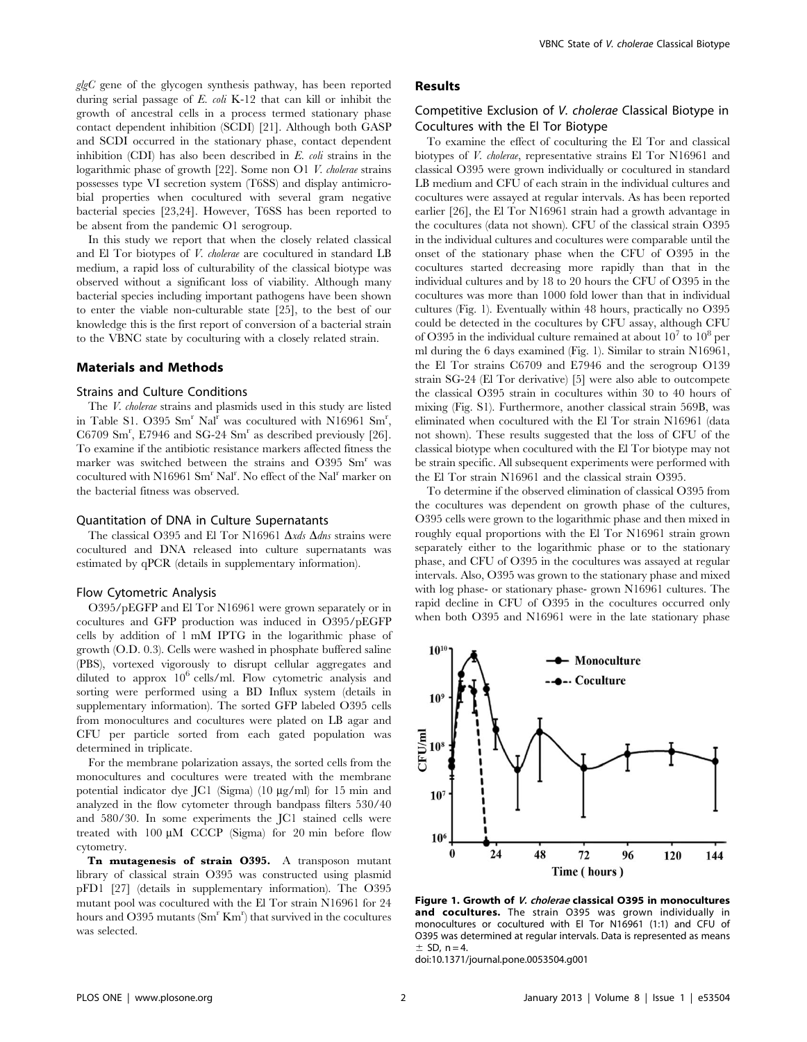$glgC$  gene of the glycogen synthesis pathway, has been reported during serial passage of E. coli K-12 that can kill or inhibit the growth of ancestral cells in a process termed stationary phase contact dependent inhibition (SCDI) [21]. Although both GASP and SCDI occurred in the stationary phase, contact dependent inhibition (CDI) has also been described in E. coli strains in the logarithmic phase of growth [22]. Some non O1 V. cholerae strains possesses type VI secretion system (T6SS) and display antimicrobial properties when cocultured with several gram negative bacterial species [23,24]. However, T6SS has been reported to be absent from the pandemic O1 serogroup.

In this study we report that when the closely related classical and El Tor biotypes of V. cholerae are cocultured in standard LB medium, a rapid loss of culturability of the classical biotype was observed without a significant loss of viability. Although many bacterial species including important pathogens have been shown to enter the viable non-culturable state [25], to the best of our knowledge this is the first report of conversion of a bacterial strain to the VBNC state by coculturing with a closely related strain.

#### Materials and Methods

#### Strains and Culture Conditions

The V. cholerae strains and plasmids used in this study are listed in Table S1. O395  $Sm<sup>r</sup> Na<sup>r</sup>$  was cocultured with N16961  $Sm<sup>r</sup>$ , C6709 Sm<sup>r</sup> , E7946 and SG-24 Sm<sup>r</sup> as described previously [26]. To examine if the antibiotic resistance markers affected fitness the marker was switched between the strains and O395 Sm<sup>r</sup> was cocultured with N16961 Sm<sup>r</sup> Nal<sup>r</sup>. No effect of the Nal<sup>r</sup> marker on the bacterial fitness was observed.

#### Quantitation of DNA in Culture Supernatants

The classical O395 and El Tor N16961  $\Delta x ds$   $\Delta dns$  strains were cocultured and DNA released into culture supernatants was estimated by qPCR (details in supplementary information).

#### Flow Cytometric Analysis

O395/pEGFP and El Tor N16961 were grown separately or in cocultures and GFP production was induced in O395/pEGFP cells by addition of 1 mM IPTG in the logarithmic phase of growth (O.D. 0.3). Cells were washed in phosphate buffered saline (PBS), vortexed vigorously to disrupt cellular aggregates and diluted to approx  $10^6$  cells/ml. Flow cytometric analysis and sorting were performed using a BD Influx system (details in supplementary information). The sorted GFP labeled O395 cells from monocultures and cocultures were plated on LB agar and CFU per particle sorted from each gated population was determined in triplicate.

For the membrane polarization assays, the sorted cells from the monocultures and cocultures were treated with the membrane potential indicator dye JC1 (Sigma) (10 µg/ml) for 15 min and analyzed in the flow cytometer through bandpass filters 530/40 and 580/30. In some experiments the JC1 stained cells were treated with  $100 \mu M$  CCCP (Sigma) for 20 min before flow cytometry.

Tn mutagenesis of strain O395. A transposon mutant library of classical strain O395 was constructed using plasmid pFD1 [27] (details in supplementary information). The O395 mutant pool was cocultured with the El Tor strain N16961 for 24 hours and O395 mutants  $(Sm<sup>r</sup> Km<sup>r</sup>)$  that survived in the cocultures was selected.

### Results

## Competitive Exclusion of V. cholerae Classical Biotype in Cocultures with the El Tor Biotype

To examine the effect of coculturing the El Tor and classical biotypes of V. cholerae, representative strains El Tor N16961 and classical O395 were grown individually or cocultured in standard LB medium and CFU of each strain in the individual cultures and cocultures were assayed at regular intervals. As has been reported earlier [26], the El Tor N16961 strain had a growth advantage in the cocultures (data not shown). CFU of the classical strain O395 in the individual cultures and cocultures were comparable until the onset of the stationary phase when the CFU of O395 in the cocultures started decreasing more rapidly than that in the individual cultures and by 18 to 20 hours the CFU of O395 in the cocultures was more than 1000 fold lower than that in individual cultures (Fig. 1). Eventually within 48 hours, practically no O395 could be detected in the cocultures by CFU assay, although CFU of O395 in the individual culture remained at about  $10^7$  to  $10^8$  per ml during the 6 days examined (Fig. 1). Similar to strain N16961, the El Tor strains C6709 and E7946 and the serogroup O139 strain SG-24 (El Tor derivative) [5] were also able to outcompete the classical O395 strain in cocultures within 30 to 40 hours of mixing (Fig. S1). Furthermore, another classical strain 569B, was eliminated when cocultured with the El Tor strain N16961 (data not shown). These results suggested that the loss of CFU of the classical biotype when cocultured with the El Tor biotype may not be strain specific. All subsequent experiments were performed with the El Tor strain N16961 and the classical strain O395.

To determine if the observed elimination of classical O395 from the cocultures was dependent on growth phase of the cultures, O395 cells were grown to the logarithmic phase and then mixed in roughly equal proportions with the El Tor N16961 strain grown separately either to the logarithmic phase or to the stationary phase, and CFU of O395 in the cocultures was assayed at regular intervals. Also, O395 was grown to the stationary phase and mixed with log phase- or stationary phase- grown N16961 cultures. The rapid decline in CFU of O395 in the cocultures occurred only when both O395 and N16961 were in the late stationary phase



Figure 1. Growth of V. cholerae classical O395 in monocultures and cocultures. The strain O395 was grown individually in monocultures or cocultured with El Tor N16961 (1:1) and CFU of O395 was determined at regular intervals. Data is represented as means  $\pm$  SD, n = 4.

doi:10.1371/journal.pone.0053504.g001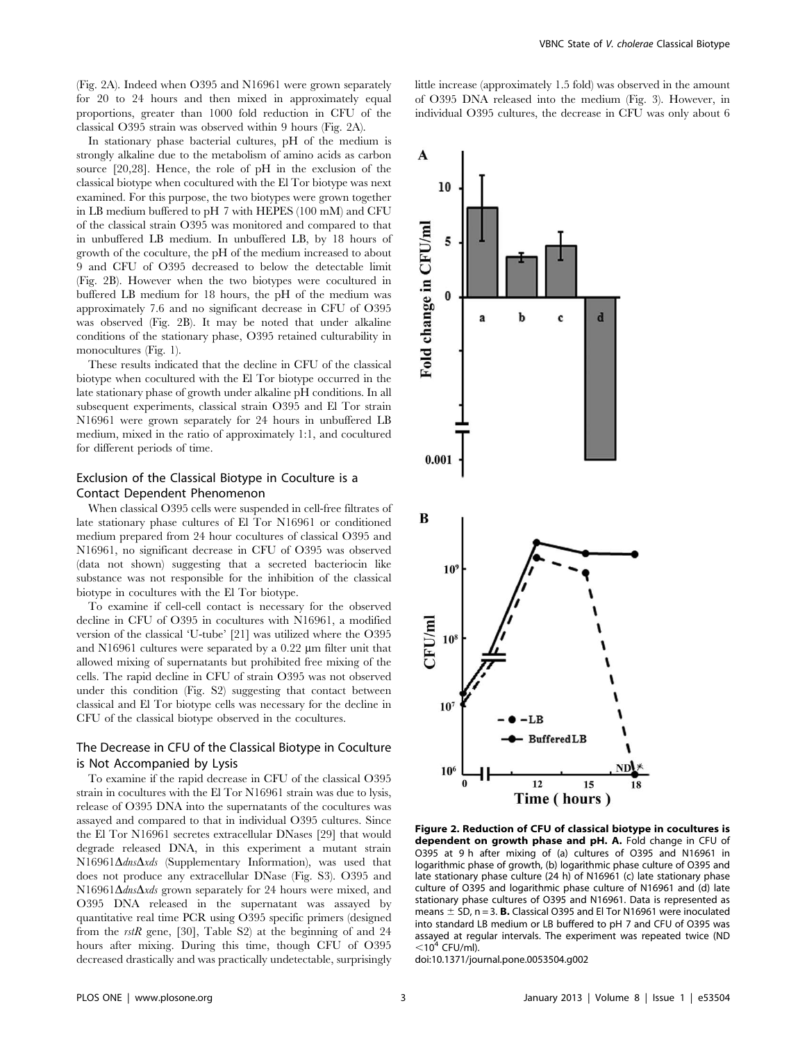(Fig. 2A). Indeed when O395 and N16961 were grown separately for 20 to 24 hours and then mixed in approximately equal proportions, greater than 1000 fold reduction in CFU of the classical O395 strain was observed within 9 hours (Fig. 2A).

In stationary phase bacterial cultures, pH of the medium is strongly alkaline due to the metabolism of amino acids as carbon source [20,28]. Hence, the role of pH in the exclusion of the classical biotype when cocultured with the El Tor biotype was next examined. For this purpose, the two biotypes were grown together in LB medium buffered to pH 7 with HEPES (100 mM) and CFU of the classical strain O395 was monitored and compared to that in unbuffered LB medium. In unbuffered LB, by 18 hours of growth of the coculture, the pH of the medium increased to about 9 and CFU of O395 decreased to below the detectable limit (Fig. 2B). However when the two biotypes were cocultured in buffered LB medium for 18 hours, the pH of the medium was approximately 7.6 and no significant decrease in CFU of O395 was observed (Fig. 2B). It may be noted that under alkaline conditions of the stationary phase, O395 retained culturability in monocultures (Fig. 1).

These results indicated that the decline in CFU of the classical biotype when cocultured with the El Tor biotype occurred in the late stationary phase of growth under alkaline pH conditions. In all subsequent experiments, classical strain O395 and El Tor strain N16961 were grown separately for 24 hours in unbuffered LB medium, mixed in the ratio of approximately 1:1, and cocultured for different periods of time.

## Exclusion of the Classical Biotype in Coculture is a Contact Dependent Phenomenon

When classical O395 cells were suspended in cell-free filtrates of late stationary phase cultures of El Tor N16961 or conditioned medium prepared from 24 hour cocultures of classical O395 and N16961, no significant decrease in CFU of O395 was observed (data not shown) suggesting that a secreted bacteriocin like substance was not responsible for the inhibition of the classical biotype in cocultures with the El Tor biotype.

To examine if cell-cell contact is necessary for the observed decline in CFU of O395 in cocultures with N16961, a modified version of the classical 'U-tube' [21] was utilized where the O395 and N16961 cultures were separated by a  $0.22 \mu m$  filter unit that allowed mixing of supernatants but prohibited free mixing of the cells. The rapid decline in CFU of strain O395 was not observed under this condition (Fig. S2) suggesting that contact between classical and El Tor biotype cells was necessary for the decline in CFU of the classical biotype observed in the cocultures.

## The Decrease in CFU of the Classical Biotype in Coculture is Not Accompanied by Lysis

To examine if the rapid decrease in CFU of the classical O395 strain in cocultures with the El Tor N16961 strain was due to lysis, release of O395 DNA into the supernatants of the cocultures was assayed and compared to that in individual O395 cultures. Since the El Tor N16961 secretes extracellular DNases [29] that would degrade released DNA, in this experiment a mutant strain N16961 $\Delta$ dns $\Delta x$ ds (Supplementary Information), was used that does not produce any extracellular DNase (Fig. S3). O395 and N16961 $\Delta$ dns $\Delta$ xds grown separately for 24 hours were mixed, and O395 DNA released in the supernatant was assayed by quantitative real time PCR using O395 specific primers (designed from the  $rstR$  gene, [30], Table S2) at the beginning of and 24 hours after mixing. During this time, though CFU of O395 decreased drastically and was practically undetectable, surprisingly

little increase (approximately 1.5 fold) was observed in the amount of O395 DNA released into the medium (Fig. 3). However, in individual O395 cultures, the decrease in CFU was only about 6

 $\mathbf{A}$ 



Figure 2. Reduction of CFU of classical biotype in cocultures is dependent on growth phase and pH. A. Fold change in CFU of O395 at 9 h after mixing of (a) cultures of O395 and N16961 in logarithmic phase of growth, (b) logarithmic phase culture of O395 and late stationary phase culture (24 h) of N16961 (c) late stationary phase culture of O395 and logarithmic phase culture of N16961 and (d) late stationary phase cultures of O395 and N16961. Data is represented as means  $\pm$  SD, n = 3. **B.** Classical O395 and El Tor N16961 were inoculated into standard LB medium or LB buffered to pH 7 and CFU of O395 was assayed at regular intervals. The experiment was repeated twice (ND  $<$ 10<sup>4</sup> CFU/ml).

doi:10.1371/journal.pone.0053504.g002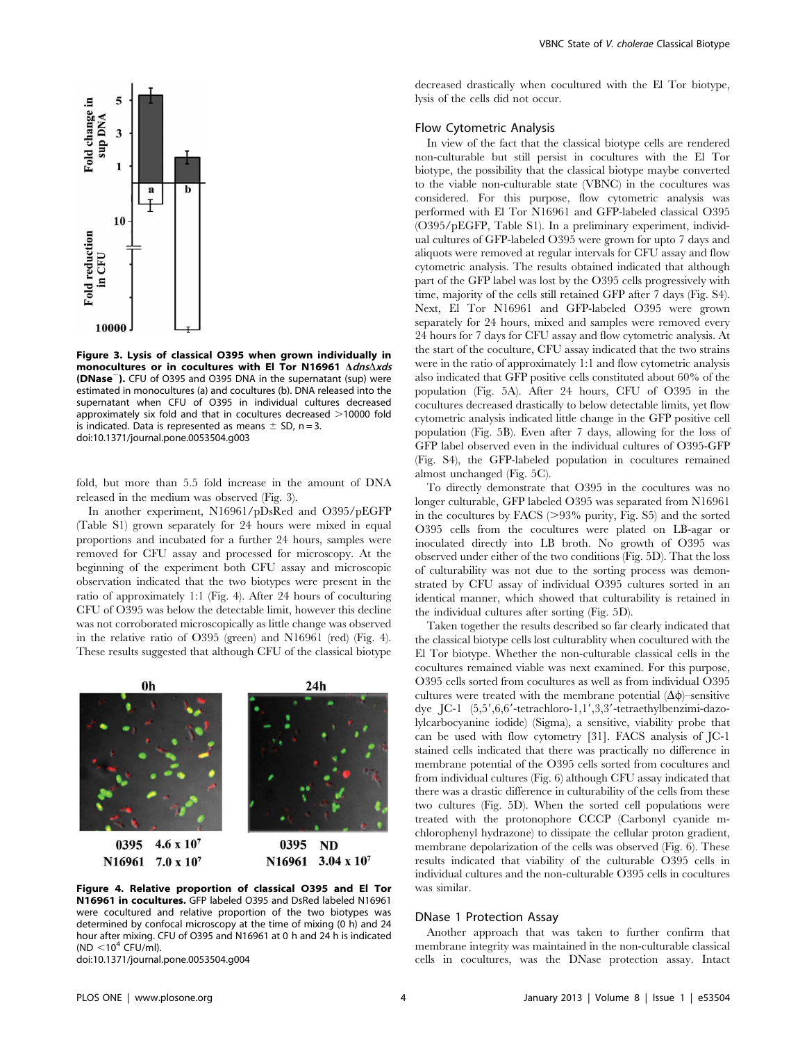

Figure 3. Lysis of classical O395 when grown individually in monocultures or in cocultures with El Tor N16961  $\triangle d$ ns $\triangle x$ ds (DNase<sup>-</sup>). CFU of O395 and O395 DNA in the supernatant (sup) were estimated in monocultures (a) and cocultures (b). DNA released into the supernatant when CFU of O395 in individual cultures decreased approximately six fold and that in cocultures decreased  $>$ 10000 fold is indicated. Data is represented as means  $\pm$  SD, n = 3. doi:10.1371/journal.pone.0053504.g003

fold, but more than 5.5 fold increase in the amount of DNA released in the medium was observed (Fig. 3).

In another experiment, N16961/pDsRed and O395/pEGFP (Table S1) grown separately for 24 hours were mixed in equal proportions and incubated for a further 24 hours, samples were removed for CFU assay and processed for microscopy. At the beginning of the experiment both CFU assay and microscopic observation indicated that the two biotypes were present in the ratio of approximately 1:1 (Fig. 4). After 24 hours of coculturing CFU of O395 was below the detectable limit, however this decline was not corroborated microscopically as little change was observed in the relative ratio of O395 (green) and N16961 (red) (Fig. 4). These results suggested that although CFU of the classical biotype



Figure 4. Relative proportion of classical O395 and El Tor N16961 in cocultures. GFP labeled O395 and DsRed labeled N16961 were cocultured and relative proportion of the two biotypes was determined by confocal microscopy at the time of mixing (0 h) and 24 hour after mixing. CFU of O395 and N16961 at 0 h and 24 h is indicated (ND  $<$  10<sup>4</sup> CFU/ml).

doi:10.1371/journal.pone.0053504.g004

decreased drastically when cocultured with the El Tor biotype, lysis of the cells did not occur.

#### Flow Cytometric Analysis

In view of the fact that the classical biotype cells are rendered non-culturable but still persist in cocultures with the El Tor biotype, the possibility that the classical biotype maybe converted to the viable non-culturable state (VBNC) in the cocultures was considered. For this purpose, flow cytometric analysis was performed with El Tor N16961 and GFP-labeled classical O395 (O395/pEGFP, Table S1). In a preliminary experiment, individual cultures of GFP-labeled O395 were grown for upto 7 days and aliquots were removed at regular intervals for CFU assay and flow cytometric analysis. The results obtained indicated that although part of the GFP label was lost by the O395 cells progressively with time, majority of the cells still retained GFP after 7 days (Fig. S4). Next, El Tor N16961 and GFP-labeled O395 were grown separately for 24 hours, mixed and samples were removed every 24 hours for 7 days for CFU assay and flow cytometric analysis. At the start of the coculture, CFU assay indicated that the two strains were in the ratio of approximately 1:1 and flow cytometric analysis also indicated that GFP positive cells constituted about 60% of the population (Fig. 5A). After 24 hours, CFU of O395 in the cocultures decreased drastically to below detectable limits, yet flow cytometric analysis indicated little change in the GFP positive cell population (Fig. 5B). Even after 7 days, allowing for the loss of GFP label observed even in the individual cultures of O395-GFP (Fig. S4), the GFP-labeled population in cocultures remained almost unchanged (Fig. 5C).

To directly demonstrate that O395 in the cocultures was no longer culturable, GFP labeled O395 was separated from N16961 in the cocultures by FACS  $(>93\%$  purity, Fig. S5) and the sorted O395 cells from the cocultures were plated on LB-agar or inoculated directly into LB broth. No growth of O395 was observed under either of the two conditions (Fig. 5D). That the loss of culturability was not due to the sorting process was demonstrated by CFU assay of individual O395 cultures sorted in an identical manner, which showed that culturability is retained in the individual cultures after sorting (Fig. 5D).

Taken together the results described so far clearly indicated that the classical biotype cells lost culturablity when cocultured with the El Tor biotype. Whether the non-culturable classical cells in the cocultures remained viable was next examined. For this purpose, O395 cells sorted from cocultures as well as from individual O395 cultures were treated with the membrane potential  $(\Delta \phi)$ –sensitive dye JC-1 (5,5',6,6'-tetrachloro-1,1',3,3'-tetraethylbenzimi-dazolylcarbocyanine iodide) (Sigma), a sensitive, viability probe that can be used with flow cytometry [31]. FACS analysis of JC-1 stained cells indicated that there was practically no difference in membrane potential of the O395 cells sorted from cocultures and from individual cultures (Fig. 6) although CFU assay indicated that there was a drastic difference in culturability of the cells from these two cultures (Fig. 5D). When the sorted cell populations were treated with the protonophore CCCP (Carbonyl cyanide mchlorophenyl hydrazone) to dissipate the cellular proton gradient, membrane depolarization of the cells was observed (Fig. 6). These results indicated that viability of the culturable O395 cells in individual cultures and the non-culturable O395 cells in cocultures was similar.

#### DNase 1 Protection Assay

Another approach that was taken to further confirm that membrane integrity was maintained in the non-culturable classical cells in cocultures, was the DNase protection assay. Intact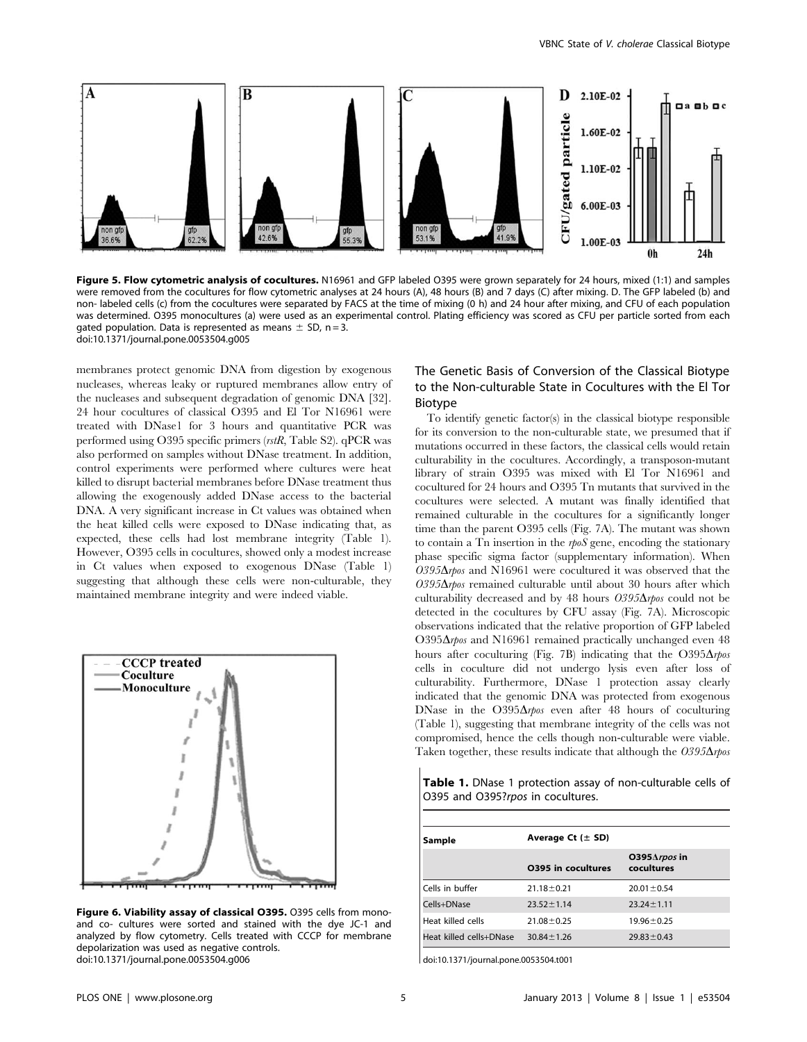

Figure 5. Flow cytometric analysis of cocultures. N16961 and GFP labeled O395 were grown separately for 24 hours, mixed (1:1) and samples were removed from the cocultures for flow cytometric analyses at 24 hours (A), 48 hours (B) and 7 days (C) after mixing. D. The GFP labeled (b) and non- labeled cells (c) from the cocultures were separated by FACS at the time of mixing (0 h) and 24 hour after mixing, and CFU of each population was determined. O395 monocultures (a) were used as an experimental control. Plating efficiency was scored as CFU per particle sorted from each gated population. Data is represented as means  $\pm$  SD, n = 3. doi:10.1371/journal.pone.0053504.g005

membranes protect genomic DNA from digestion by exogenous nucleases, whereas leaky or ruptured membranes allow entry of the nucleases and subsequent degradation of genomic DNA [32]. 24 hour cocultures of classical O395 and El Tor N16961 were treated with DNase1 for 3 hours and quantitative PCR was performed using O395 specific primers (rstR, Table S2). qPCR was also performed on samples without DNase treatment. In addition, control experiments were performed where cultures were heat killed to disrupt bacterial membranes before DNase treatment thus allowing the exogenously added DNase access to the bacterial DNA. A very significant increase in Ct values was obtained when the heat killed cells were exposed to DNase indicating that, as expected, these cells had lost membrane integrity (Table 1). However, O395 cells in cocultures, showed only a modest increase in Ct values when exposed to exogenous DNase (Table 1) suggesting that although these cells were non-culturable, they maintained membrane integrity and were indeed viable.



Figure 6. Viability assay of classical O395. O395 cells from monoand co- cultures were sorted and stained with the dye JC-1 and analyzed by flow cytometry. Cells treated with CCCP for membrane depolarization was used as negative controls. doi:10.1371/journal.pone.0053504.g006

## The Genetic Basis of Conversion of the Classical Biotype to the Non-culturable State in Cocultures with the El Tor Biotype

To identify genetic factor(s) in the classical biotype responsible for its conversion to the non-culturable state, we presumed that if mutations occurred in these factors, the classical cells would retain culturability in the cocultures. Accordingly, a transposon-mutant library of strain O395 was mixed with El Tor N16961 and cocultured for 24 hours and O395 Tn mutants that survived in the cocultures were selected. A mutant was finally identified that remained culturable in the cocultures for a significantly longer time than the parent O395 cells (Fig. 7A). The mutant was shown to contain a Tn insertion in the rpoS gene, encoding the stationary phase specific sigma factor (supplementary information). When  $O395\Delta$ rpos and N16961 were cocultured it was observed that the  $O395\Delta$ rpos remained culturable until about 30 hours after which culturability decreased and by 48 hours  $0395\Delta$ rpos could not be detected in the cocultures by CFU assay (Fig. 7A). Microscopic observations indicated that the relative proportion of GFP labeled O395 $\Delta$ rpos and N16961 remained practically unchanged even 48 hours after coculturing (Fig. 7B) indicating that the  $O395\Delta$ rpos cells in coculture did not undergo lysis even after loss of culturability. Furthermore, DNase 1 protection assay clearly indicated that the genomic DNA was protected from exogenous DNase in the  $O395\Delta$ rpos even after 48 hours of coculturing (Table 1), suggesting that membrane integrity of the cells was not compromised, hence the cells though non-culturable were viable. Taken together, these results indicate that although the  $O395\Delta$ rpos

| <b>Table 1.</b> DNase 1 protection assay of non-culturable cells of |  |
|---------------------------------------------------------------------|--|
| O395 and O395?rpos in cocultures.                                   |  |

| Sample                  | Average Ct $(\pm$ SD) |                                        |  |
|-------------------------|-----------------------|----------------------------------------|--|
|                         | 0395 in cocultures    | O395 $\triangle$ rpos in<br>cocultures |  |
| Cells in buffer         | $21.18 \pm 0.21$      | $20.01 \pm 0.54$                       |  |
| Cells+DNase             | $23.52 \pm 1.14$      | $23.24 \pm 1.11$                       |  |
| Heat killed cells       | $21.08 \pm 0.25$      | $19.96 \pm 0.25$                       |  |
| Heat killed cells+DNase | $30.84 \pm 1.26$      | $29.83 \pm 0.43$                       |  |

doi:10.1371/journal.pone.0053504.t001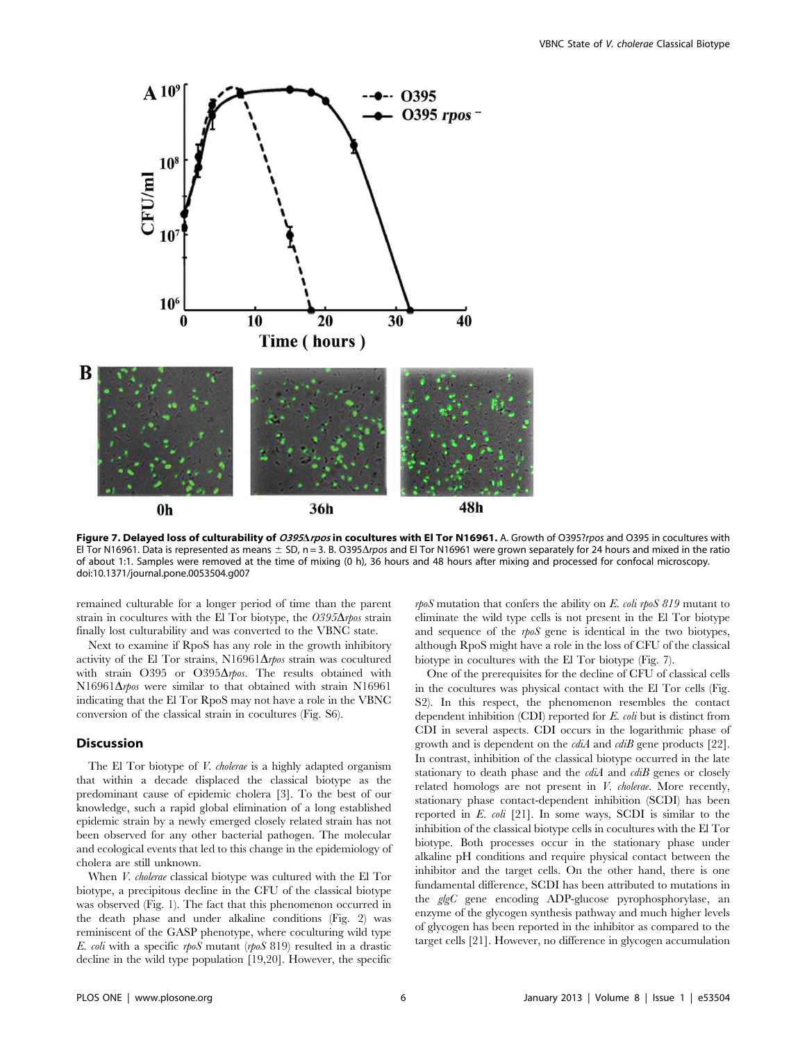

Figure 7. Delayed loss of culturability of 0395Arpos in cocultures with El Tor N16961. A. Growth of O395?rpos and O395 in cocultures with El Tor N16961. Data is represented as means  $\pm$  SD, n = 3. B. O395 $\Delta$ rpos and El Tor N16961 were grown separately for 24 hours and mixed in the ratio of about 1:1. Samples were removed at the time of mixing (0 h), 36 hours and 48 hours after mixing and processed for confocal microscopy. doi:10.1371/journal.pone.0053504.g007

remained culturable for a longer period of time than the parent strain in cocultures with the El Tor biotype, the  $O395\Delta$ rpos strain finally lost culturability and was converted to the VBNC state.

Next to examine if RpoS has any role in the growth inhibitory activity of the El Tor strains, N16961 $\Delta$ rpos strain was cocultured with strain O395 or O395 $\Delta$ rpos. The results obtained with  $N16961\Delta$ rpos were similar to that obtained with strain N16961 indicating that the El Tor RpoS may not have a role in the VBNC conversion of the classical strain in cocultures (Fig. S6).

#### Discussion

The El Tor biotype of *V. cholerae* is a highly adapted organism that within a decade displaced the classical biotype as the predominant cause of epidemic cholera [3]. To the best of our knowledge, such a rapid global elimination of a long established epidemic strain by a newly emerged closely related strain has not been observed for any other bacterial pathogen. The molecular and ecological events that led to this change in the epidemiology of cholera are still unknown.

When *V. cholerae* classical biotype was cultured with the El Tor biotype, a precipitous decline in the CFU of the classical biotype was observed (Fig. 1). The fact that this phenomenon occurred in the death phase and under alkaline conditions (Fig. 2) was reminiscent of the GASP phenotype, where coculturing wild type E. coli with a specific rpoS mutant (rpoS 819) resulted in a drastic decline in the wild type population [19,20]. However, the specific

 $rpoS$  mutation that confers the ability on E. coli rpoS 819 mutant to eliminate the wild type cells is not present in the El Tor biotype and sequence of the rpoS gene is identical in the two biotypes, although RpoS might have a role in the loss of CFU of the classical biotype in cocultures with the El Tor biotype (Fig. 7).

One of the prerequisites for the decline of CFU of classical cells in the cocultures was physical contact with the El Tor cells (Fig. S2). In this respect, the phenomenon resembles the contact dependent inhibition (CDI) reported for E. coli but is distinct from CDI in several aspects. CDI occurs in the logarithmic phase of growth and is dependent on the *cdiA* and *cdiB* gene products [22]. In contrast, inhibition of the classical biotype occurred in the late stationary to death phase and the  $c\ddot{d}$  and  $c\ddot{d}$  genes or closely related homologs are not present in *V. cholerae*. More recently, stationary phase contact-dependent inhibition (SCDI) has been reported in  $E.$  coli [21]. In some ways, SCDI is similar to the inhibition of the classical biotype cells in cocultures with the El Tor biotype. Both processes occur in the stationary phase under alkaline pH conditions and require physical contact between the inhibitor and the target cells. On the other hand, there is one fundamental difference, SCDI has been attributed to mutations in the glgC gene encoding ADP-glucose pyrophosphorylase, an enzyme of the glycogen synthesis pathway and much higher levels of glycogen has been reported in the inhibitor as compared to the target cells [21]. However, no difference in glycogen accumulation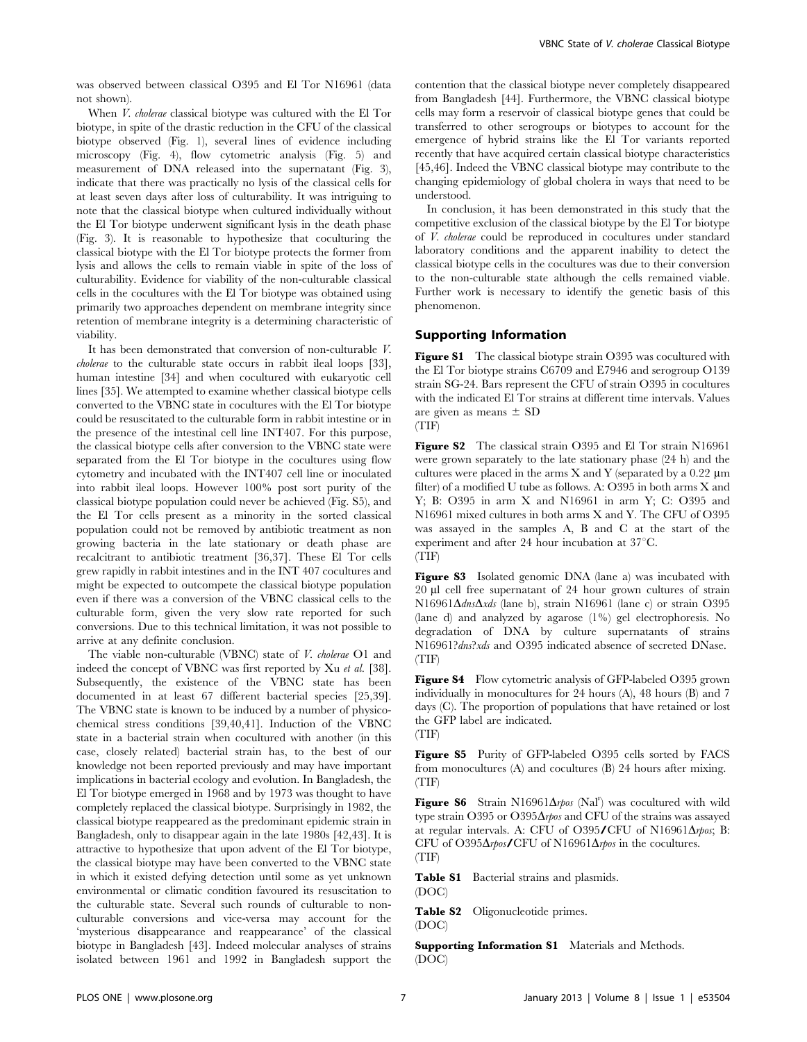was observed between classical O395 and El Tor N16961 (data not shown).

When *V. cholerae* classical biotype was cultured with the El Tor biotype, in spite of the drastic reduction in the CFU of the classical biotype observed (Fig. 1), several lines of evidence including microscopy (Fig. 4), flow cytometric analysis (Fig. 5) and measurement of DNA released into the supernatant (Fig. 3), indicate that there was practically no lysis of the classical cells for at least seven days after loss of culturability. It was intriguing to note that the classical biotype when cultured individually without the El Tor biotype underwent significant lysis in the death phase (Fig. 3). It is reasonable to hypothesize that coculturing the classical biotype with the El Tor biotype protects the former from lysis and allows the cells to remain viable in spite of the loss of culturability. Evidence for viability of the non-culturable classical cells in the cocultures with the El Tor biotype was obtained using primarily two approaches dependent on membrane integrity since retention of membrane integrity is a determining characteristic of viability.

It has been demonstrated that conversion of non-culturable V. cholerae to the culturable state occurs in rabbit ileal loops [33], human intestine [34] and when cocultured with eukaryotic cell lines [35]. We attempted to examine whether classical biotype cells converted to the VBNC state in cocultures with the El Tor biotype could be resuscitated to the culturable form in rabbit intestine or in the presence of the intestinal cell line INT407. For this purpose, the classical biotype cells after conversion to the VBNC state were separated from the El Tor biotype in the cocultures using flow cytometry and incubated with the INT407 cell line or inoculated into rabbit ileal loops. However 100% post sort purity of the classical biotype population could never be achieved (Fig. S5), and the El Tor cells present as a minority in the sorted classical population could not be removed by antibiotic treatment as non growing bacteria in the late stationary or death phase are recalcitrant to antibiotic treatment [36,37]. These El Tor cells grew rapidly in rabbit intestines and in the INT 407 cocultures and might be expected to outcompete the classical biotype population even if there was a conversion of the VBNC classical cells to the culturable form, given the very slow rate reported for such conversions. Due to this technical limitation, it was not possible to arrive at any definite conclusion.

The viable non-culturable (VBNC) state of V. cholerae O1 and indeed the concept of VBNC was first reported by Xu et al. [38]. Subsequently, the existence of the VBNC state has been documented in at least 67 different bacterial species [25,39]. The VBNC state is known to be induced by a number of physicochemical stress conditions [39,40,41]. Induction of the VBNC state in a bacterial strain when cocultured with another (in this case, closely related) bacterial strain has, to the best of our knowledge not been reported previously and may have important implications in bacterial ecology and evolution. In Bangladesh, the El Tor biotype emerged in 1968 and by 1973 was thought to have completely replaced the classical biotype. Surprisingly in 1982, the classical biotype reappeared as the predominant epidemic strain in Bangladesh, only to disappear again in the late 1980s [42,43]. It is attractive to hypothesize that upon advent of the El Tor biotype, the classical biotype may have been converted to the VBNC state in which it existed defying detection until some as yet unknown environmental or climatic condition favoured its resuscitation to the culturable state. Several such rounds of culturable to nonculturable conversions and vice-versa may account for the 'mysterious disappearance and reappearance' of the classical biotype in Bangladesh [43]. Indeed molecular analyses of strains isolated between 1961 and 1992 in Bangladesh support the contention that the classical biotype never completely disappeared from Bangladesh [44]. Furthermore, the VBNC classical biotype cells may form a reservoir of classical biotype genes that could be transferred to other serogroups or biotypes to account for the emergence of hybrid strains like the El Tor variants reported recently that have acquired certain classical biotype characteristics [45,46]. Indeed the VBNC classical biotype may contribute to the changing epidemiology of global cholera in ways that need to be understood.

In conclusion, it has been demonstrated in this study that the competitive exclusion of the classical biotype by the El Tor biotype of V. cholerae could be reproduced in cocultures under standard laboratory conditions and the apparent inability to detect the classical biotype cells in the cocultures was due to their conversion to the non-culturable state although the cells remained viable. Further work is necessary to identify the genetic basis of this phenomenon.

### Supporting Information

Figure S1 The classical biotype strain O395 was cocultured with the El Tor biotype strains C6709 and E7946 and serogroup O139 strain SG-24. Bars represent the CFU of strain O395 in cocultures with the indicated El Tor strains at different time intervals. Values are given as means  $\pm$  SD (TIF)

Figure S2 The classical strain O395 and El Tor strain N16961 were grown separately to the late stationary phase (24 h) and the cultures were placed in the arms  $X$  and  $Y$  (separated by a 0.22  $\mu$ m filter) of a modified U tube as follows. A: O395 in both arms X and Y; B: O395 in arm X and N16961 in arm Y; C: O395 and N16961 mixed cultures in both arms X and Y. The CFU of O395 was assayed in the samples A, B and C at the start of the experiment and after 24 hour incubation at  $37^{\circ}$ C. (TIF)

Figure S3 Isolated genomic DNA (lane a) was incubated with 20 ml cell free supernatant of 24 hour grown cultures of strain N16961 $\Delta$ dns $\Delta$ xds (lane b), strain N16961 (lane c) or strain O395 (lane d) and analyzed by agarose (1%) gel electrophoresis. No degradation of DNA by culture supernatants of strains N16961?dns?xds and O395 indicated absence of secreted DNase. (TIF)

Figure S4 Flow cytometric analysis of GFP-labeled O395 grown individually in monocultures for 24 hours (A), 48 hours (B) and 7 days (C). The proportion of populations that have retained or lost the GFP label are indicated. (TIF)

Figure S5 Purity of GFP-labeled O395 cells sorted by FACS from monocultures (A) and cocultures (B) 24 hours after mixing. (TIF)

Figure S6 Strain N16961 $\Delta$ rpos (Nal<sup>r</sup>) was cocultured with wild type strain O395 or O395 $\Delta$ rpos and CFU of the strains was assayed at regular intervals. A: CFU of O395/CFU of N16961 $\Delta$ rpos; B: CFU of O395 $\Delta$ rpos/CFU of N16961 $\Delta$ rpos in the cocultures. (TIF)

Table S1 Bacterial strains and plasmids. (DOC)

Table S2 Oligonucleotide primes. (DOC)

Supporting Information S1 Materials and Methods. (DOC)